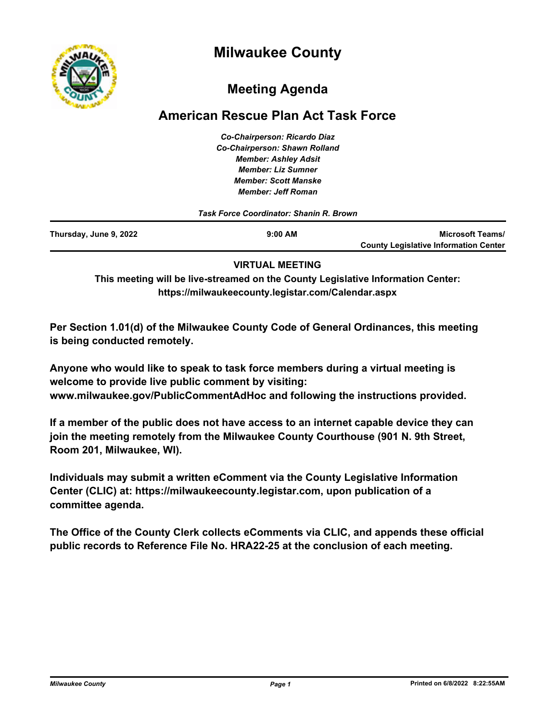



# **Meeting Agenda**

# **American Rescue Plan Act Task Force**

*Co-Chairperson: Ricardo Diaz Co-Chairperson: Shawn Rolland Member: Ashley Adsit Member: Liz Sumner Member: Scott Manske Member: Jeff Roman*

|                        | Task Force Coordinator: Shanin R. Brown |                                              |
|------------------------|-----------------------------------------|----------------------------------------------|
| Thursday, June 9, 2022 | $9:00$ AM                               | <b>Microsoft Teams/</b>                      |
|                        |                                         | <b>County Legislative Information Center</b> |

### **VIRTUAL MEETING**

**This meeting will be live-streamed on the County Legislative Information Center: https://milwaukeecounty.legistar.com/Calendar.aspx**

**Per Section 1.01(d) of the Milwaukee County Code of General Ordinances, this meeting is being conducted remotely.**

**Anyone who would like to speak to task force members during a virtual meeting is welcome to provide live public comment by visiting: www.milwaukee.gov/PublicCommentAdHoc and following the instructions provided.**

**If a member of the public does not have access to an internet capable device they can join the meeting remotely from the Milwaukee County Courthouse (901 N. 9th Street, Room 201, Milwaukee, WI).**

**Individuals may submit a written eComment via the County Legislative Information Center (CLIC) at: https://milwaukeecounty.legistar.com, upon publication of a committee agenda.**

**The Office of the County Clerk collects eComments via CLIC, and appends these official public records to Reference File No. HRA22-25 at the conclusion of each meeting.**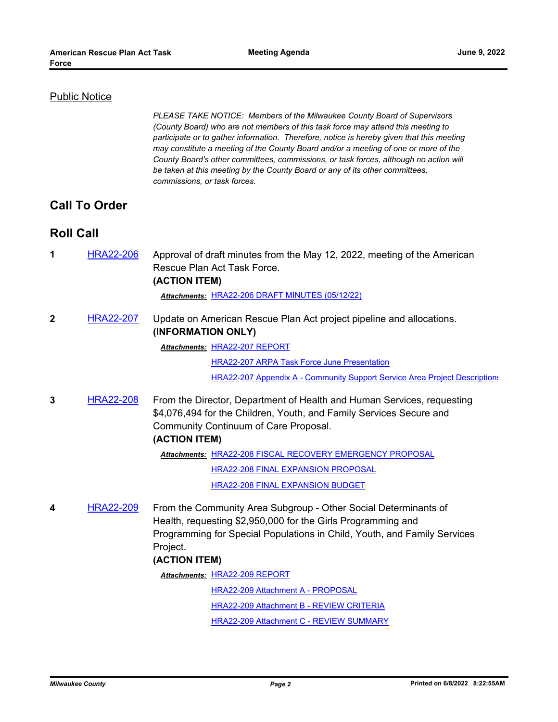#### Public Notice

*PLEASE TAKE NOTICE: Members of the Milwaukee County Board of Supervisors (County Board) who are not members of this task force may attend this meeting to participate or to gather information. Therefore, notice is hereby given that this meeting may constitute a meeting of the County Board and/or a meeting of one or more of the County Board's other committees, commissions, or task forces, although no action will be taken at this meeting by the County Board or any of its other committees, commissions, or task forces.*

## **Call To Order**

## **Roll Call**

**1** [HRA22-206](http://milwaukeecounty.legistar.com/gateway.aspx?m=l&id=/matter.aspx?key=12445) Approval of draft minutes from the May 12, 2022, meeting of the American Rescue Plan Act Task Force. **(ACTION ITEM)**

*Attachments:* [HRA22-206 DRAFT MINUTES \(05/12/22\)](http://MilwaukeeCounty.legistar.com/gateway.aspx?M=F&ID=3a37ef05-e894-4caa-9c72-308762a7c336.pdf)

**2** [HRA22-207](http://milwaukeecounty.legistar.com/gateway.aspx?m=l&id=/matter.aspx?key=12446) Update on American Rescue Plan Act project pipeline and allocations. **(INFORMATION ONLY)**

Attachments: [HRA22-207 REPORT](http://MilwaukeeCounty.legistar.com/gateway.aspx?M=F&ID=ba8bfece-bbee-49ed-8a6d-c4638773b796.pdf)

[HRA22-207 ARPA Task Force June Presentation](http://MilwaukeeCounty.legistar.com/gateway.aspx?M=F&ID=d06258a4-aa1f-4ba3-8eea-1eef7d32cf93.pdf)

[HRA22-207 Appendix A - Community Support Service Area Project Descriptions](http://MilwaukeeCounty.legistar.com/gateway.aspx?M=F&ID=ecff67b5-cd04-476f-8d2c-3e3bee9dad8f.pdf)

**3** [HRA22-208](http://milwaukeecounty.legistar.com/gateway.aspx?m=l&id=/matter.aspx?key=12447) From the Director, Department of Health and Human Services, requesting \$4,076,494 for the Children, Youth, and Family Services Secure and Community Continuum of Care Proposal.

#### **(ACTION ITEM)**

Attachments: [HRA22-208 FISCAL RECOVERY EMERGENCY PROPOSAL](http://MilwaukeeCounty.legistar.com/gateway.aspx?M=F&ID=29e63111-e3c5-41cd-a483-f8247504264f.pdf)

[HRA22-208 FINAL EXPANSION PROPOSAL](http://MilwaukeeCounty.legistar.com/gateway.aspx?M=F&ID=52149ecb-1b4c-42df-b8df-3103d9e9da5d.pdf)

[HRA22-208 FINAL EXPANSION BUDGET](http://MilwaukeeCounty.legistar.com/gateway.aspx?M=F&ID=06f4349c-5393-4590-9518-014bed9efc86.pdf)

**4** [HRA22-209](http://milwaukeecounty.legistar.com/gateway.aspx?m=l&id=/matter.aspx?key=12448) From the Community Area Subgroup - Other Social Determinants of Health, requesting \$2,950,000 for the Girls Programming and Programming for Special Populations in Child, Youth, and Family Services Project.

#### **(ACTION ITEM)**

Attachments: [HRA22-209 REPORT](http://MilwaukeeCounty.legistar.com/gateway.aspx?M=F&ID=39c3e3fb-3c0d-492b-916d-f322571f1b6a.pdf)

[HRA22-209 Attachment A - PROPOSAL](http://MilwaukeeCounty.legistar.com/gateway.aspx?M=F&ID=b10afa50-5551-4b2d-a2c3-1a3f1b7f8eff.pdf)

[HRA22-209 Attachment B - REVIEW CRITERIA](http://MilwaukeeCounty.legistar.com/gateway.aspx?M=F&ID=2f518815-2330-4501-97b9-3a73cf151f2c.pdf)

[HRA22-209 Attachment C - REVIEW SUMMARY](http://MilwaukeeCounty.legistar.com/gateway.aspx?M=F&ID=235823a7-9d5b-48c7-8477-9aa79518c698.pdf)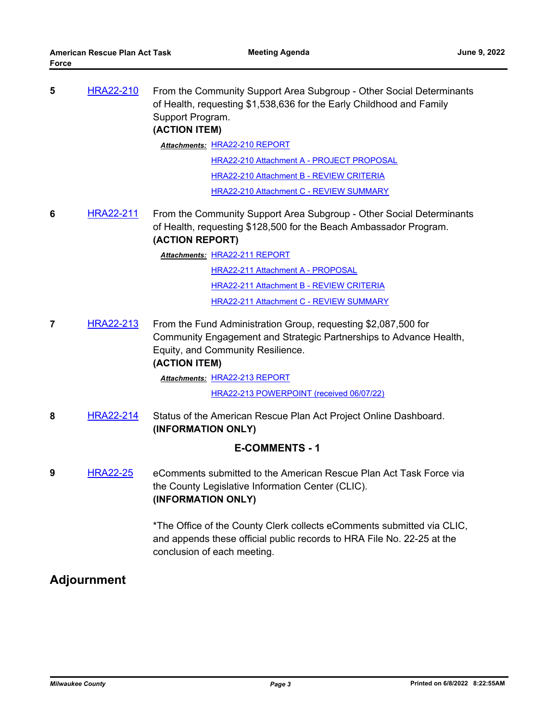| 5                     | <b>HRA22-210</b> | From the Community Support Area Subgroup - Other Social Determinants<br>of Health, requesting \$1,538,636 for the Early Childhood and Family<br>Support Program.<br>(ACTION ITEM)<br><b>Attachments: HRA22-210 REPORT</b>          |  |  |
|-----------------------|------------------|------------------------------------------------------------------------------------------------------------------------------------------------------------------------------------------------------------------------------------|--|--|
|                       |                  | HRA22-210 Attachment A - PROJECT PROPOSAL                                                                                                                                                                                          |  |  |
|                       |                  | <b>HRA22-210 Attachment B - REVIEW CRITERIA</b>                                                                                                                                                                                    |  |  |
|                       |                  | <b>HRA22-210 Attachment C - REVIEW SUMMARY</b>                                                                                                                                                                                     |  |  |
| 6                     | <b>HRA22-211</b> | From the Community Support Area Subgroup - Other Social Determinants<br>of Health, requesting \$128,500 for the Beach Ambassador Program.<br>(ACTION REPORT)                                                                       |  |  |
|                       |                  | Attachments: HRA22-211 REPORT                                                                                                                                                                                                      |  |  |
|                       |                  | <b>HRA22-211 Attachment A - PROPOSAL</b>                                                                                                                                                                                           |  |  |
|                       |                  | HRA22-211 Attachment B - REVIEW CRITERIA                                                                                                                                                                                           |  |  |
|                       |                  | HRA22-211 Attachment C - REVIEW SUMMARY                                                                                                                                                                                            |  |  |
| 7                     | <b>HRA22-213</b> | From the Fund Administration Group, requesting \$2,087,500 for<br>Community Engagement and Strategic Partnerships to Advance Health,<br>Equity, and Community Resilience.<br>(ACTION ITEM)<br><b>Attachments: HRA22-213 REPORT</b> |  |  |
|                       |                  | HRA22-213 POWERPOINT (received 06/07/22)                                                                                                                                                                                           |  |  |
| 8                     | <b>HRA22-214</b> | Status of the American Rescue Plan Act Project Online Dashboard.<br>(INFORMATION ONLY)                                                                                                                                             |  |  |
| <b>E-COMMENTS - 1</b> |                  |                                                                                                                                                                                                                                    |  |  |
| 9                     | <b>HRA22-25</b>  | eComments submitted to the American Rescue Plan Act Task Force via<br>the County Legislative Information Center (CLIC).<br>(INFORMATION ONLY)                                                                                      |  |  |
|                       |                  | *The Office of the County Clerk collects eComments submitted via CLIC,<br>and appends these official public records to HRA File No. 22-25 at the<br>conclusion of each meeting.                                                    |  |  |
| <b>Adjournment</b>    |                  |                                                                                                                                                                                                                                    |  |  |